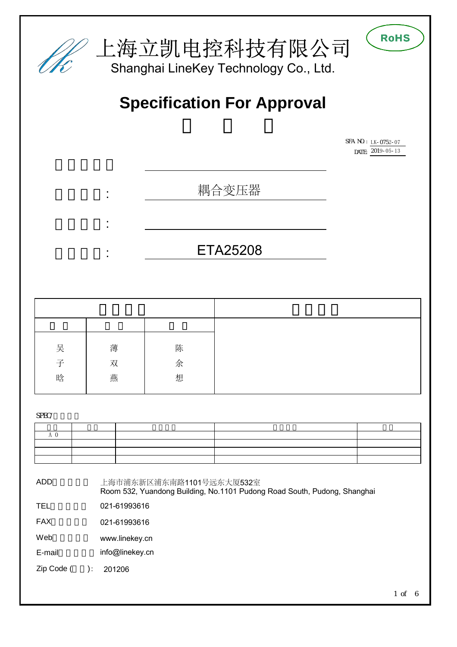

| 吴 | 薄 | 陈 |
|---|---|---|
| 子 | 双 | 余 |
| 晗 | 燕 | 想 |
|   |   |   |

SPEC/

|    | $\overline{\phantom{a}}$ and $\overline{\phantom{a}}$                                                                                                                                                                                |  |
|----|--------------------------------------------------------------------------------------------------------------------------------------------------------------------------------------------------------------------------------------|--|
| —— | <u> London a la componenta de la componenta de la componenta de la componenta de la componenta de la componenta de la componenta de la componenta de la componenta de la componenta de la componenta de la componenta de la comp</u> |  |
|    | <u>and the state of the state of the state of the state of the state of the state of the state of the state of the state of the state of the state of the state of the state of the state of the state of the state of the state</u> |  |
|    |                                                                                                                                                                                                                                      |  |

ADD(地址):

上海市浦东新区浦东南路1101号远东大厦532室 Room 532, Yuandong Building, No.1101 Pudong Road South, Pudong, Shanghai

TEL 021-61993616

FAX 021-61993616

Web [www.linekey.cn](http://www.linekey.cn)

E-mail [info@linekey.cn](mailto:info@linekey.cn)

Zip Code (  $): 201206$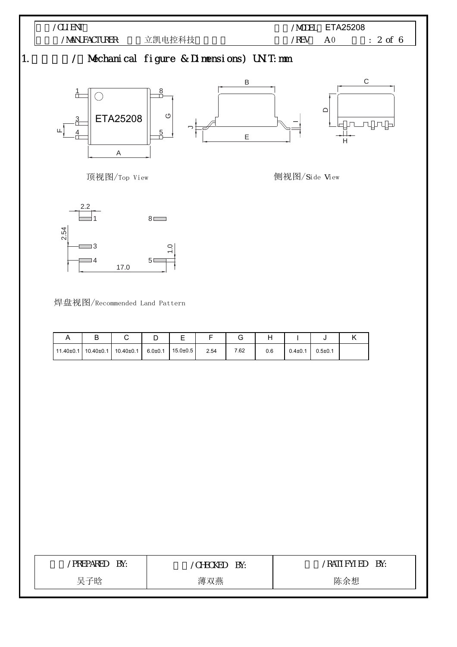

焊盘视图/Recommended Land Pattern

17.0

| ് |                                                                            | ◡ |      |      |     |               |             |  |
|---|----------------------------------------------------------------------------|---|------|------|-----|---------------|-------------|--|
|   | $11.40\pm0.1$ 10.40 $\pm$ 0.1 10.40 $\pm$ 0.1 6.0 $\pm$ 0.1 15.0 $\pm$ 0.5 |   | 2.54 | 7.62 | 0.6 | $0.4 \pm 0.1$ | $0.5 + 0.1$ |  |

| <b>PREPARED</b> | 'CHECKED | Rati fyl ed |
|-----------------|----------|-------------|
| BY:             | BY:      | BY:         |
| 吴子晗             | 薄双燕      | 陈余想         |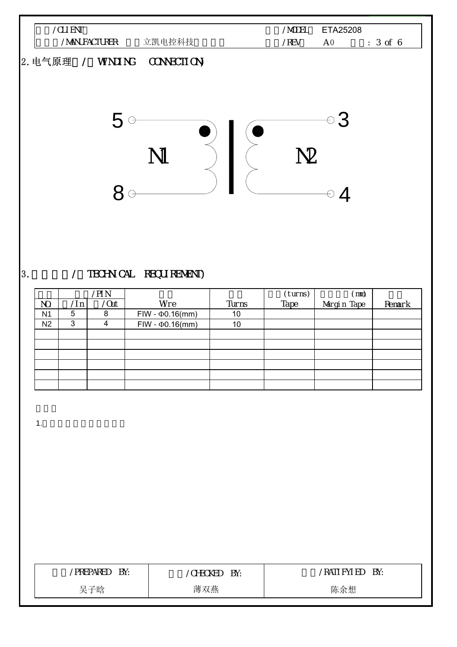

## 3. / TECHNICAL REQUIREMENT)

|                |     | /pi n      |                        |       | (turns) | (mm)        |        |
|----------------|-----|------------|------------------------|-------|---------|-------------|--------|
| NO.            | /ln | $\sqrt{a}$ | Wre                    | Turns | Tape    | Margin Tape | Remark |
| N <sub>1</sub> | 5   | 8          | $FIW - \Phi 0.16$ (mm) | 10    |         |             |        |
| N <sub>2</sub> | 3   | 4          | $FIW - \Phi 0.16$ (mm) | 10    |         |             |        |
|                |     |            |                        |       |         |             |        |
|                |     |            |                        |       |         |             |        |
|                |     |            |                        |       |         |             |        |
|                |     |            |                        |       |         |             |        |
|                |     |            |                        |       |         |             |        |
|                |     |            |                        |       |         |             |        |

1.  $\blacksquare$ 

| BY:             | BY:      | BY:         |
|-----------------|----------|-------------|
| <b>PREPARED</b> | /CHECKED | rati fyl ed |
| 吴子晗             | 薄双燕      | 陈余想         |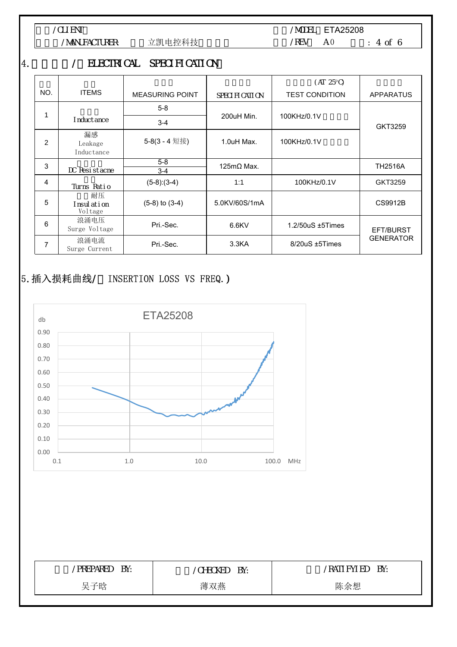

/MANUFACTURER: 立凯电控科技

/MODEL ETA25208 版本/REV: A 0 页数: 4 of 6

## 4. / ELECTRICAL SPECIFICATION

|               |                              |                        |                    | $(AT 25^{\circ}C)$     |                  |
|---------------|------------------------------|------------------------|--------------------|------------------------|------------------|
| NO.           | <b>ITEMS</b>                 | <b>MEASURING POINT</b> | SPECIFICATION      | <b>TEST CONDITION</b>  | <b>APPARATUS</b> |
|               |                              | $5 - 8$                |                    |                        |                  |
|               | nduct ance                   | $3 - 4$                | 200uH Min.         | 100KHz/0.1V            | GKT3259          |
| $\mathcal{P}$ | 漏感<br>Leakage<br>Inductance  | 5-8(3 - 4 短接)          | 1.0uH Max.         | 100KHz/0.1V            |                  |
| 3             | DC Resistache                | $5 - 8$<br>$3 - 4$     | 125m $\Omega$ Max. |                        | <b>TH2516A</b>   |
| 4             | Turns Ratio                  | $(5-8):(3-4)$          | 1:1                | 100KHz/0.1V            | GKT3259          |
| 5             | 耐压<br>nsul ati on<br>Voltage | $(5-8)$ to $(3-4)$     | 5.0KV/60S/1mA      |                        | CS9912B          |
| 6             | 浪涌电压<br>Surge Voltage        | Pri.-Sec.              | 6.6KV              | $1.2/50uS \pm 5$ Times | EFT/BURST        |
| 7             | 浪涌电流<br>Surge Current        | Pri.-Sec.              | 3.3 <sub>K</sub> A | 8/20uS ±5Times         | <b>GENERATOR</b> |

## 5. 插入损耗曲线/ INSERTION LOSS VS FREQ.)



| 'PREPARED | 'CHECKED | BY:        |
|-----------|----------|------------|
| BY:       | BY:      | rati fyled |
| 吴子晗       | 薄双燕      | 陈余想        |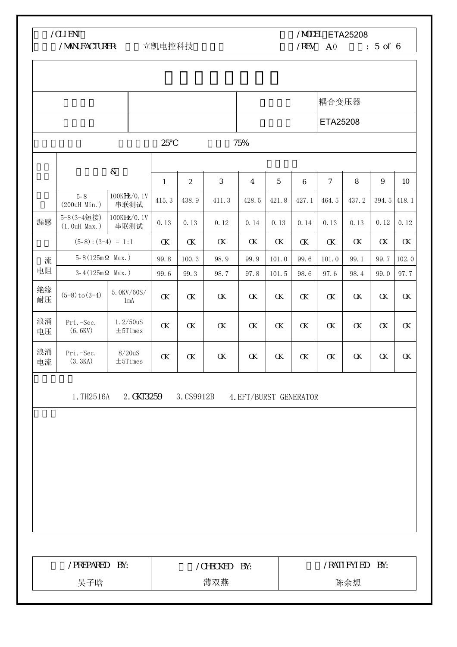客户/CLIENT:

r

/MANUFACTURER: 立凯电控科技

/MODEL ETA25208

 $/$ REV  $A0$  : 5 of 6

 $\overline{1}$ 

|          |                                      |                                 |          |                |                |                        |          |          | 耦合变压器          |         |          |          |
|----------|--------------------------------------|---------------------------------|----------|----------------|----------------|------------------------|----------|----------|----------------|---------|----------|----------|
|          |                                      |                                 |          |                |                |                        |          |          | ETA25208       |         |          |          |
|          |                                      |                                 | 25       |                |                | 75%                    |          |          |                |         |          |          |
|          |                                      | $\&$                            |          |                |                |                        |          |          |                |         |          |          |
|          |                                      |                                 | 1        | $\overline{2}$ | $\mathfrak{Z}$ | 4                      | 5        | 6        | $\overline{7}$ | $\,8\,$ | 9        | 10       |
|          | $5 - 8$<br>(200uH Min.)              | 100KHz/0.1V<br>串联测试             | 415.3    | 438.9          | 411.3          | 428.5                  | 421.8    | 427.1    | 464.5          | 437.2   | 394.5    | 418.1    |
| 漏感       | 5-8 (3-4短接)<br>$(1.0uH$ Max.)        | 100KHz/0.1V<br>串联测试             | 0.13     | 0.13           | 0.12           | 0.14                   | 0.13     | 0.14     | 0.13           | 0.13    | 0.12     | 0.12     |
|          | $(5-8):(3-4) = 1:1$                  |                                 | $\alpha$ | $\alpha$       | $\alpha$       | $\alpha$               | $\alpha$ | $\alpha$ | $\alpha$       | α       | α        | $\alpha$ |
| 流        | $5 - 8(125 \text{m}\,\Omega\,$ Max.) |                                 | 99.8     | 100.3          | 98.9           | 99.9                   | 101.0    | 99.6     | 101.0          | 99.1    | 99.7     | 102.0    |
| 电阻       | $3-4(125 \text{m}\,\Omega$ Max.)     |                                 | 99.6     | 99.3           | 98.7           | 97.8                   | 101.5    | 98.6     | 97.6           | 98.4    | 99.0     | 97.7     |
| 绝缘<br>耐压 | $(5-8)$ to $(3-4)$                   | 5.0KV/60S/<br>1mA               | $\alpha$ | $\alpha$       | $\alpha$       | $\alpha$               | $\alpha$ | $\alpha$ | α              | α       | $\alpha$ | α        |
| 浪涌<br>电压 | Pri.-Sec.<br>(6.6KV)                 | 1.2/50uS<br>$\pm 5 {\rm Times}$ | $\alpha$ | $\alpha$       | $\alpha$       | $\alpha$               | $\alpha$ | $\alpha$ | $\alpha$       | α       | $\alpha$ | $\alpha$ |
| 浪涌<br>电流 | Pri. - Sec.<br>(3.3KA)               | 8/20uS<br>$\pm$ 5Times          | $\alpha$ | $\alpha$       | $\alpha$       | $\alpha$               | $\alpha$ | $\alpha$ | α              | α       | $\alpha$ | $\alpha$ |
|          | 1. TH2516A                           | 2. GKT3259                      |          | 3. CS9912B     |                | 4. EFT/BURST GENERATOR |          |          |                |         |          |          |
|          |                                      |                                 |          |                |                |                        |          |          |                |         |          |          |